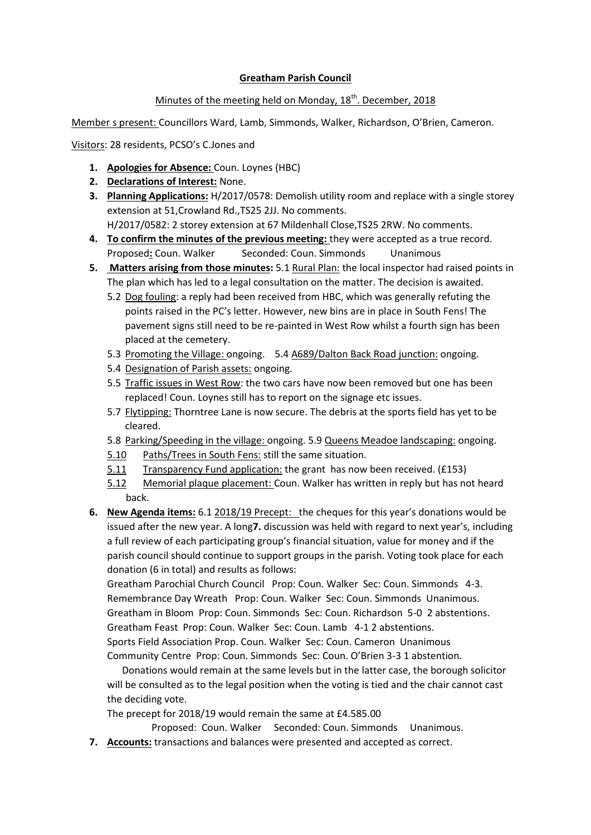## **Greatham Parish Council**

## Minutes of the meeting held on Monday, 18<sup>th</sup>. December, 2018

Member s present: Councillors Ward, Lamb, Simmonds, Walker, Richardson, O'Brien, Cameron.

Visitors: 28 residents, PCSO's C.Jones and

- **1. Apologies for Absence:** Coun. Loynes (HBC)
- **2. Declarations of Interest:** None.
- **3. Planning Applications:** H/2017/0578: Demolish utility room and replace with a single storey extension at 51,Crowland Rd.,TS25 2JJ. No comments. H/2017/0582: 2 storey extension at 67 Mildenhall Close,TS25 2RW. No comments.
- **4. To confirm the minutes of the previous meeting:** they were accepted as a true record. Proposed: Coun. Walker Seconded: Coun. Simmonds Unanimous
- **5. Matters arising from those minutes:** 5.1 Rural Plan: the local inspector had raised points in The plan which has led to a legal consultation on the matter. The decision is awaited.
	- 5.2 Dog fouling: a reply had been received from HBC, which was generally refuting the points raised in the PC's letter. However, new bins are in place in South Fens! The pavement signs still need to be re-painted in West Row whilst a fourth sign has been placed at the cemetery.
	- 5.3 Promoting the Village: ongoing. 5.4 A689/Dalton Back Road junction: ongoing.
	- 5.4 Designation of Parish assets: ongoing.
	- 5.5 Traffic issues in West Row: the two cars have now been removed but one has been replaced! Coun. Loynes still has to report on the signage etc issues.
	- 5.7 Flytipping: Thorntree Lane is now secure. The debris at the sports field has yet to be cleared.
	- 5.8 Parking/Speeding in the village: ongoing. 5.9 Queens Meadoe landscaping: ongoing.
	- 5.10 Paths/Trees in South Fens: still the same situation.
	- 5.11 Transparency Fund application: the grant has now been received. (£153)
	- 5.12 Memorial plaque placement: Coun. Walker has written in reply but has not heard back.
- **6. New Agenda items:** 6.1 2018/19 Precept: the cheques for this year's donations would be issued after the new year. A long**7.** discussion was held with regard to next year's, including a full review of each participating group's financial situation, value for money and if the parish council should continue to support groups in the parish. Voting took place for each donation (6 in total) and results as follows:

Greatham Parochial Church Council Prop: Coun. Walker Sec: Coun. Simmonds 4-3. Remembrance Day Wreath Prop: Coun. Walker Sec: Coun. Simmonds Unanimous. Greatham in Bloom Prop: Coun. Simmonds Sec: Coun. Richardson 5-0 2 abstentions. Greatham Feast Prop: Coun. Walker Sec: Coun. Lamb 4-1 2 abstentions. Sports Field Association Prop. Coun. Walker Sec: Coun. Cameron Unanimous Community Centre Prop: Coun. Simmonds Sec: Coun. O'Brien 3-3 1 abstention.

 Donations would remain at the same levels but in the latter case, the borough solicitor will be consulted as to the legal position when the voting is tied and the chair cannot cast the deciding vote.

The precept for 2018/19 would remain the same at £4.585.00

Proposed: Coun. Walker Seconded: Coun. Simmonds Unanimous.

**7. Accounts:** transactions and balances were presented and accepted as correct.